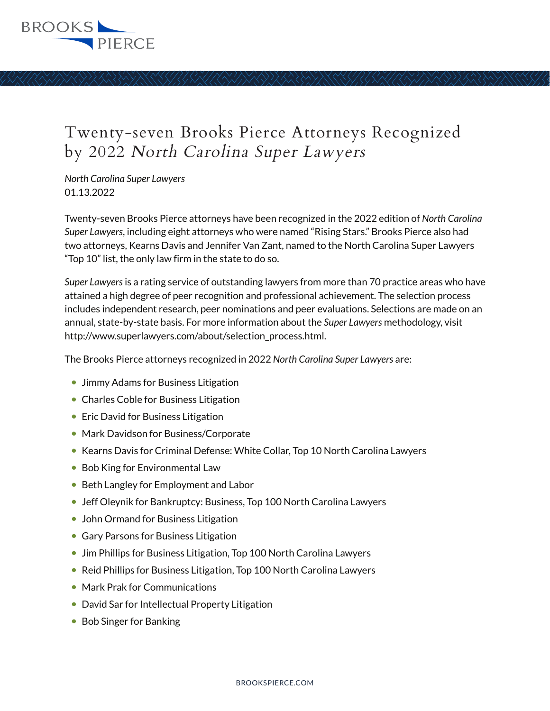

## Twenty-seven Brooks Pierce Attorneys Recognized by 2022 North Carolina Super Lawyers

*North Carolina Super Lawyers* 01.13.2022

Twenty-seven Brooks Pierce attorneys have been recognized in the 2022 edition of *North Carolina Super Lawyers*, including eight attorneys who were named "Rising Stars." Brooks Pierce also had two attorneys, Kearns Davis and Jennifer Van Zant, named to the North Carolina Super Lawyers "Top 10" list, the only law firm in the state to do so.

*Super Lawyers* is a rating service of outstanding lawyers from more than 70 practice areas who have attained a high degree of peer recognition and professional achievement. The selection process includes independent research, peer nominations and peer evaluations. Selections are made on an annual, state-by-state basis. For more information about the *Super Lawyers* methodology, visit http://www.superlawyers.com/about/selection\_process.html.

The Brooks Pierce attorneys recognized in 2022 *North Carolina Super Lawyers* are:

- Jimmy Adams for Business Litigation
- Charles Coble for Business Litigation
- Eric David for Business Litigation
- Mark Davidson for Business/Corporate
- Kearns Davis for Criminal Defense: White Collar, Top 10 North Carolina Lawyers
- Bob King for Environmental Law
- Beth Langley for Employment and Labor
- Jeff Oleynik for Bankruptcy: Business, Top 100 North Carolina Lawyers
- John Ormand for Business Litigation
- Gary Parsons for Business Litigation
- Jim Phillips for Business Litigation, Top 100 North Carolina Lawyers
- Reid Phillips for Business Litigation, Top 100 North Carolina Lawyers
- Mark Prak for Communications
- David Sar for Intellectual Property Litigation
- Bob Singer for Banking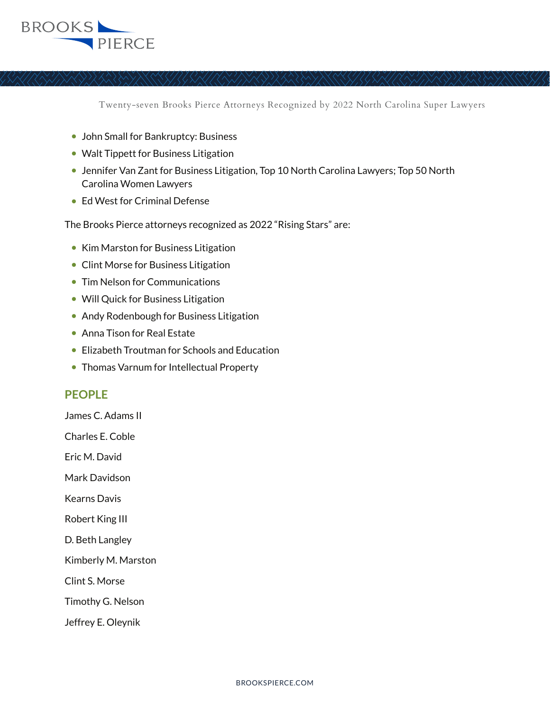## **BROOKS** PIERCE

Twenty-seven Brooks Pierce Attorneys Recognized by 2022 North Carolina Super Lawyers

- John Small for Bankruptcy: Business
- Walt Tippett for Business Litigation
- Jennifer Van Zant for Business Litigation, Top 10 North Carolina Lawyers; Top 50 North Carolina Women Lawyers
- Ed West for Criminal Defense

The Brooks Pierce attorneys recognized as 2022 "Rising Stars" are:

- Kim Marston for Business Litigation
- Clint Morse for Business Litigation
- Tim Nelson for Communications
- Will Quick for Business Litigation
- Andy Rodenbough for Business Litigation
- Anna Tison for Real Estate
- Elizabeth Troutman for Schools and Education
- Thomas Varnum for Intellectual Property

## **PEOPLE**

James C. Adams II

Charles E. Coble

Eric M. David

Mark Davidson

Kearns Davis

Robert King III

D. Beth Langley

Kimberly M. Marston

Clint S. Morse

Timothy G. Nelson

Jeffrey E. Oleynik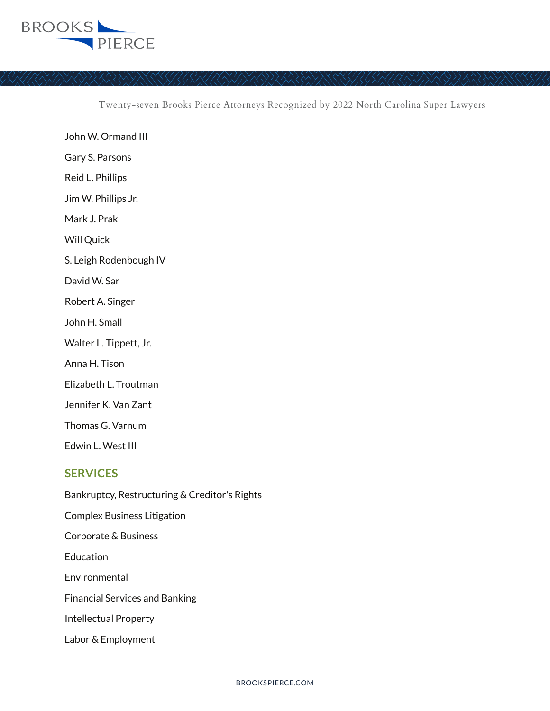

Twenty-seven Brooks Pierce Attorneys Recognized by 2022 North Carolina Super Lawyers

John W. Ormand III Gary S. Parsons Reid L. Phillips Jim W. Phillips Jr. Mark J. Prak Will Ouick S. Leigh Rodenbough IV David W. Sar Robert A. Singer John H. Small Walter L. Tippett, Jr. Anna H. Tison Elizabeth L. Troutman Jennifer K. Van Zant Thomas G. Varnum Edwin L. West III

## **SERVICES**

Bankruptcy, Restructuring & Creditor's Rights Complex Business Litigation Corporate & Business **Education** Environmental Financial Services and Banking Intellectual Property Labor & Employment